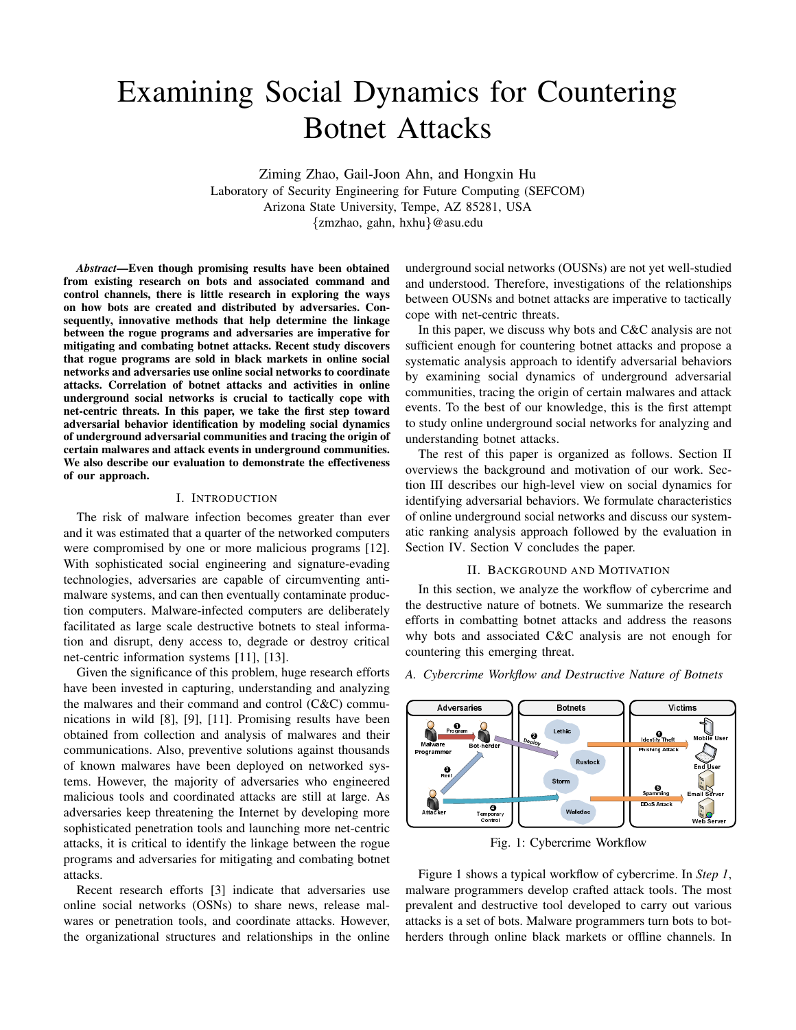# Examining Social Dynamics for Countering Botnet Attacks

Ziming Zhao, Gail-Joon Ahn, and Hongxin Hu Laboratory of Security Engineering for Future Computing (SEFCOM) Arizona State University, Tempe, AZ 85281, USA *{*zmzhao, gahn, hxhu*}*@asu.edu

*Abstract*—Even though promising results have been obtained from existing research on bots and associated command and control channels, there is little research in exploring the ways on how bots are created and distributed by adversaries. Consequently, innovative methods that help determine the linkage between the rogue programs and adversaries are imperative for mitigating and combating botnet attacks. Recent study discovers that rogue programs are sold in black markets in online social networks and adversaries use online social networks to coordinate attacks. Correlation of botnet attacks and activities in online underground social networks is crucial to tactically cope with net-centric threats. In this paper, we take the first step toward adversarial behavior identification by modeling social dynamics of underground adversarial communities and tracing the origin of certain malwares and attack events in underground communities. We also describe our evaluation to demonstrate the effectiveness of our approach.

#### I. INTRODUCTION

The risk of malware infection becomes greater than ever and it was estimated that a quarter of the networked computers were compromised by one or more malicious programs [12]. With sophisticated social engineering and signature-evading technologies, adversaries are capable of circumventing antimalware systems, and can then eventually contaminate production computers. Malware-infected computers are deliberately facilitated as large scale destructive botnets to steal information and disrupt, deny access to, degrade or destroy critical net-centric information systems [11], [13].

Given the significance of this problem, huge research efforts have been invested in capturing, understanding and analyzing the malwares and their command and control (C&C) communications in wild [8], [9], [11]. Promising results have been obtained from collection and analysis of malwares and their communications. Also, preventive solutions against thousands of known malwares have been deployed on networked systems. However, the majority of adversaries who engineered malicious tools and coordinated attacks are still at large. As adversaries keep threatening the Internet by developing more sophisticated penetration tools and launching more net-centric attacks, it is critical to identify the linkage between the rogue programs and adversaries for mitigating and combating botnet attacks.

Recent research efforts [3] indicate that adversaries use online social networks (OSNs) to share news, release malwares or penetration tools, and coordinate attacks. However, the organizational structures and relationships in the online

underground social networks (OUSNs) are not yet well-studied and understood. Therefore, investigations of the relationships between OUSNs and botnet attacks are imperative to tactically cope with net-centric threats.

In this paper, we discuss why bots and C&C analysis are not sufficient enough for countering botnet attacks and propose a systematic analysis approach to identify adversarial behaviors by examining social dynamics of underground adversarial communities, tracing the origin of certain malwares and attack events. To the best of our knowledge, this is the first attempt to study online underground social networks for analyzing and understanding botnet attacks.

The rest of this paper is organized as follows. Section II overviews the background and motivation of our work. Section III describes our high-level view on social dynamics for identifying adversarial behaviors. We formulate characteristics of online underground social networks and discuss our systematic ranking analysis approach followed by the evaluation in Section IV. Section V concludes the paper.

# II. BACKGROUND AND MOTIVATION

In this section, we analyze the workflow of cybercrime and the destructive nature of botnets. We summarize the research efforts in combatting botnet attacks and address the reasons why bots and associated C&C analysis are not enough for countering this emerging threat.



*A. Cybercrime Workflow and Destructive Nature of Botnets*

Fig. 1: Cybercrime Workflow

Figure 1 shows a typical workflow of cybercrime. In *Step 1*, malware programmers develop crafted attack tools. The most prevalent and destructive tool developed to carry out various attacks is a set of bots. Malware programmers turn bots to botherders through online black markets or offline channels. In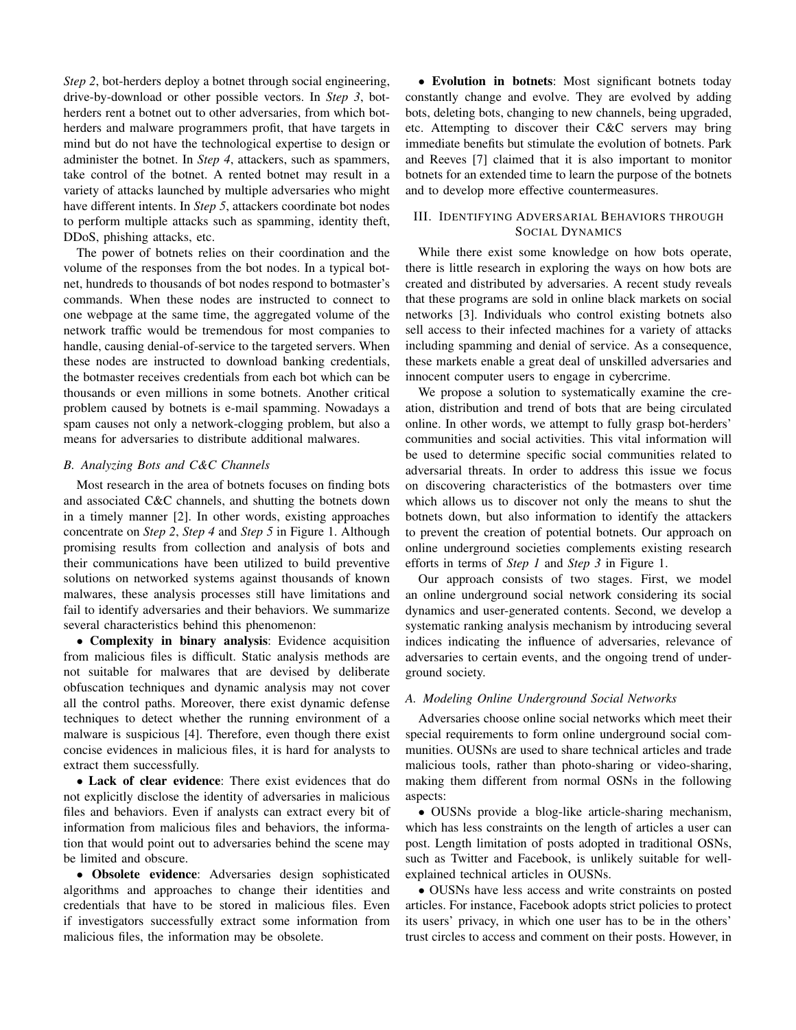*Step 2*, bot-herders deploy a botnet through social engineering, drive-by-download or other possible vectors. In *Step 3*, botherders rent a botnet out to other adversaries, from which botherders and malware programmers profit, that have targets in mind but do not have the technological expertise to design or administer the botnet. In *Step 4*, attackers, such as spammers, take control of the botnet. A rented botnet may result in a variety of attacks launched by multiple adversaries who might have different intents. In *Step 5*, attackers coordinate bot nodes to perform multiple attacks such as spamming, identity theft, DDoS, phishing attacks, etc.

The power of botnets relies on their coordination and the volume of the responses from the bot nodes. In a typical botnet, hundreds to thousands of bot nodes respond to botmaster's commands. When these nodes are instructed to connect to one webpage at the same time, the aggregated volume of the network traffic would be tremendous for most companies to handle, causing denial-of-service to the targeted servers. When these nodes are instructed to download banking credentials, the botmaster receives credentials from each bot which can be thousands or even millions in some botnets. Another critical problem caused by botnets is e-mail spamming. Nowadays a spam causes not only a network-clogging problem, but also a means for adversaries to distribute additional malwares.

#### *B. Analyzing Bots and C&C Channels*

Most research in the area of botnets focuses on finding bots and associated C&C channels, and shutting the botnets down in a timely manner [2]. In other words, existing approaches concentrate on *Step 2*, *Step 4* and *Step 5* in Figure 1. Although promising results from collection and analysis of bots and their communications have been utilized to build preventive solutions on networked systems against thousands of known malwares, these analysis processes still have limitations and fail to identify adversaries and their behaviors. We summarize several characteristics behind this phenomenon:

*•* Complexity in binary analysis: Evidence acquisition from malicious files is difficult. Static analysis methods are not suitable for malwares that are devised by deliberate obfuscation techniques and dynamic analysis may not cover all the control paths. Moreover, there exist dynamic defense techniques to detect whether the running environment of a malware is suspicious [4]. Therefore, even though there exist concise evidences in malicious files, it is hard for analysts to extract them successfully.

*•* Lack of clear evidence: There exist evidences that do not explicitly disclose the identity of adversaries in malicious files and behaviors. Even if analysts can extract every bit of information from malicious files and behaviors, the information that would point out to adversaries behind the scene may be limited and obscure.

*•* Obsolete evidence: Adversaries design sophisticated algorithms and approaches to change their identities and credentials that have to be stored in malicious files. Even if investigators successfully extract some information from malicious files, the information may be obsolete.

• Evolution in botnets: Most significant botnets today constantly change and evolve. They are evolved by adding bots, deleting bots, changing to new channels, being upgraded, etc. Attempting to discover their C&C servers may bring immediate benefits but stimulate the evolution of botnets. Park and Reeves [7] claimed that it is also important to monitor botnets for an extended time to learn the purpose of the botnets and to develop more effective countermeasures.

## III. IDENTIFYING ADVERSARIAL BEHAVIORS THROUGH SOCIAL DYNAMICS

While there exist some knowledge on how bots operate, there is little research in exploring the ways on how bots are created and distributed by adversaries. A recent study reveals that these programs are sold in online black markets on social networks [3]. Individuals who control existing botnets also sell access to their infected machines for a variety of attacks including spamming and denial of service. As a consequence, these markets enable a great deal of unskilled adversaries and innocent computer users to engage in cybercrime.

We propose a solution to systematically examine the creation, distribution and trend of bots that are being circulated online. In other words, we attempt to fully grasp bot-herders' communities and social activities. This vital information will be used to determine specific social communities related to adversarial threats. In order to address this issue we focus on discovering characteristics of the botmasters over time which allows us to discover not only the means to shut the botnets down, but also information to identify the attackers to prevent the creation of potential botnets. Our approach on online underground societies complements existing research efforts in terms of *Step 1* and *Step 3* in Figure 1.

Our approach consists of two stages. First, we model an online underground social network considering its social dynamics and user-generated contents. Second, we develop a systematic ranking analysis mechanism by introducing several indices indicating the influence of adversaries, relevance of adversaries to certain events, and the ongoing trend of underground society.

### *A. Modeling Online Underground Social Networks*

Adversaries choose online social networks which meet their special requirements to form online underground social communities. OUSNs are used to share technical articles and trade malicious tools, rather than photo-sharing or video-sharing, making them different from normal OSNs in the following aspects:

*•* OUSNs provide a blog-like article-sharing mechanism, which has less constraints on the length of articles a user can post. Length limitation of posts adopted in traditional OSNs, such as Twitter and Facebook, is unlikely suitable for wellexplained technical articles in OUSNs.

*•* OUSNs have less access and write constraints on posted articles. For instance, Facebook adopts strict policies to protect its users' privacy, in which one user has to be in the others' trust circles to access and comment on their posts. However, in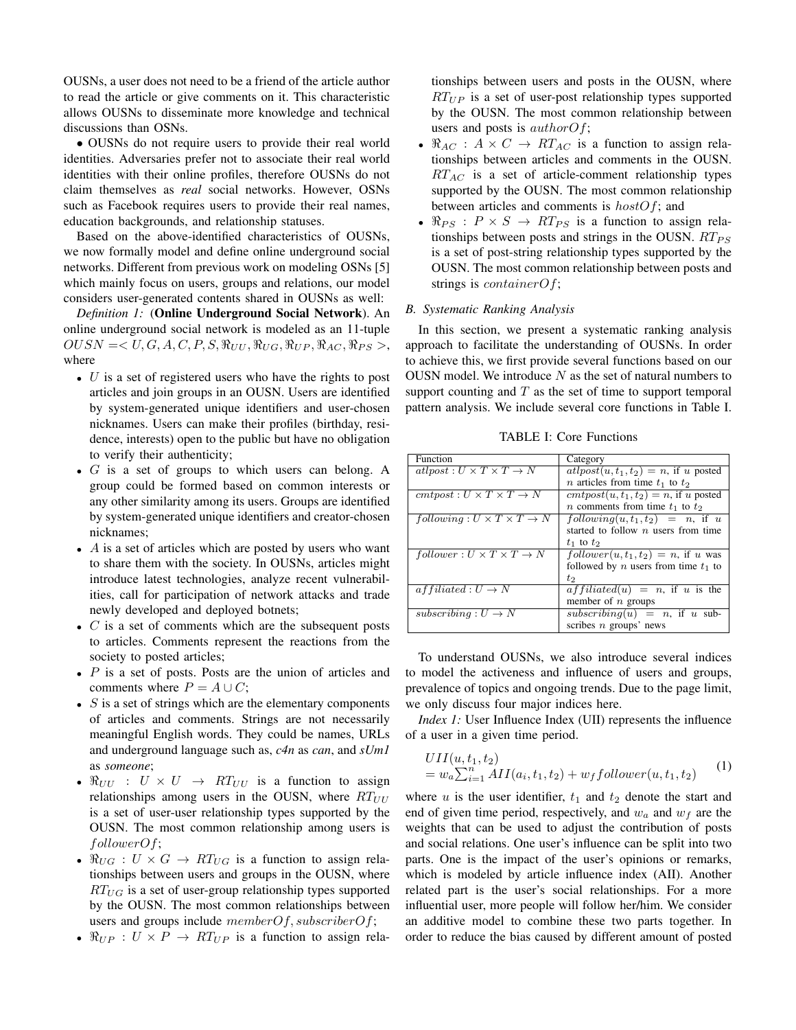OUSNs, a user does not need to be a friend of the article author to read the article or give comments on it. This characteristic allows OUSNs to disseminate more knowledge and technical discussions than OSNs.

*•* OUSNs do not require users to provide their real world identities. Adversaries prefer not to associate their real world identities with their online profiles, therefore OUSNs do not claim themselves as *real* social networks. However, OSNs such as Facebook requires users to provide their real names, education backgrounds, and relationship statuses.

Based on the above-identified characteristics of OUSNs, we now formally model and define online underground social networks. Different from previous work on modeling OSNs [5] which mainly focus on users, groups and relations, our model considers user-generated contents shared in OUSNs as well:

*Definition 1:* (Online Underground Social Network). An online underground social network is modeled as an 11-tuple  $OUSN = \langle U, G, A, C, P, S, \Re_{UU}, \Re_{UG}, \Re_{UP}, \Re_{AC}, \Re_{PS} \rangle$ where

- *• U* is a set of registered users who have the rights to post articles and join groups in an OUSN. Users are identified by system-generated unique identifiers and user-chosen nicknames. Users can make their profiles (birthday, residence, interests) open to the public but have no obligation to verify their authenticity;
- *• G* is a set of groups to which users can belong. A group could be formed based on common interests or any other similarity among its users. Groups are identified by system-generated unique identifiers and creator-chosen nicknames;
- *• A* is a set of articles which are posted by users who want to share them with the society. In OUSNs, articles might introduce latest technologies, analyze recent vulnerabilities, call for participation of network attacks and trade newly developed and deployed botnets;
- *• C* is a set of comments which are the subsequent posts to articles. Comments represent the reactions from the society to posted articles;
- *• P* is a set of posts. Posts are the union of articles and comments where  $P = A \cup C$ ;
- *• S* is a set of strings which are the elementary components of articles and comments. Strings are not necessarily meaningful English words. They could be names, URLs and underground language such as, *c4n* as *can*, and *sUm1* as *someone*;
- $\Re_{UU}$  :  $U \times U \rightarrow RT_{UU}$  is a function to assign relationships among users in the OUSN, where  $RT_{UU}$ is a set of user-user relationship types supported by the OUSN. The most common relationship among users is *followerOf*;
- $\Re_{UG}: U \times G \rightarrow RT_{UG}$  is a function to assign relationships between users and groups in the OUSN, where *RTUG* is a set of user-group relationship types supported by the OUSN. The most common relationships between users and groups include *memberOf, subscriberOf*;
- $\Re_{UP}$  :  $U \times P \rightarrow RT_{UP}$  is a function to assign rela-

tionships between users and posts in the OUSN, where *RTUP* is a set of user-post relationship types supported by the OUSN. The most common relationship between users and posts is *authorOf*;

- $\Re_{AC}$  :  $A \times C \rightarrow RT_{AC}$  is a function to assign relationships between articles and comments in the OUSN. *RTAC* is a set of article-comment relationship types supported by the OUSN. The most common relationship between articles and comments is *hostOf*; and
- $\Re_{PS}$ :  $P \times S \rightarrow RT_{PS}$  is a function to assign relationships between posts and strings in the OUSN.  $RT_{PS}$ is a set of post-string relationship types supported by the OUSN. The most common relationship between posts and strings is *containerOf*;

## *B. Systematic Ranking Analysis*

In this section, we present a systematic ranking analysis approach to facilitate the understanding of OUSNs. In order to achieve this, we first provide several functions based on our OUSN model. We introduce *N* as the set of natural numbers to support counting and *T* as the set of time to support temporal pattern analysis. We include several core functions in Table I.

TABLE I: Core Functions

| Function                                              | Category                                          |  |
|-------------------------------------------------------|---------------------------------------------------|--|
| $atlyost: U \times T \times T \rightarrow N$          | $at post(u, t_1, t_2)  = n$ , if u posted         |  |
|                                                       | <i>n</i> articles from time $t_1$ to $t_2$        |  |
| $\mathit{cmtpost}: U \times T \times T \rightarrow N$ | $\textit{cmtpost}(u, t_1, t_2) = n$ , if u posted |  |
|                                                       | <i>n</i> comments from time $t_1$ to $t_2$        |  |
| $following: U \times T \times T \rightarrow N$        | $following(u, t_1, t_2) = n$ , if u               |  |
|                                                       | started to follow $n$ users from time             |  |
|                                                       | $t_1$ to $t_2$                                    |  |
| $follower: U \times T \times T \rightarrow N$         | $follower(u, t1, t2) = n$ , if u was              |  |
|                                                       | followed by <i>n</i> users from time $t_1$ to     |  |
|                                                       | $t_2$                                             |  |
| $affiliated: U \rightarrow N$                         | $affiliated(u) = n$ , if u is the                 |  |
|                                                       | member of $n$ groups                              |  |
| subscribing $: U \rightarrow N$                       | subscribing(u) = n, if u sub-                     |  |
|                                                       | scribes $n$ groups' news                          |  |

To understand OUSNs, we also introduce several indices to model the activeness and influence of users and groups, prevalence of topics and ongoing trends. Due to the page limit, we only discuss four major indices here.

*Index 1:* User Influence Index (UII) represents the influence of a user in a given time period.

$$
UII(u, t_1, t_2)
$$
  
=  $w_a \sum_{i=1}^n AII(a_i, t_1, t_2) + w_f follower(u, t_1, t_2)$  (1)

where  $u$  is the user identifier,  $t_1$  and  $t_2$  denote the start and end of given time period, respectively, and  $w_a$  and  $w_f$  are the weights that can be used to adjust the contribution of posts and social relations. One user's influence can be split into two parts. One is the impact of the user's opinions or remarks, which is modeled by article influence index (AII). Another related part is the user's social relationships. For a more influential user, more people will follow her/him. We consider an additive model to combine these two parts together. In order to reduce the bias caused by different amount of posted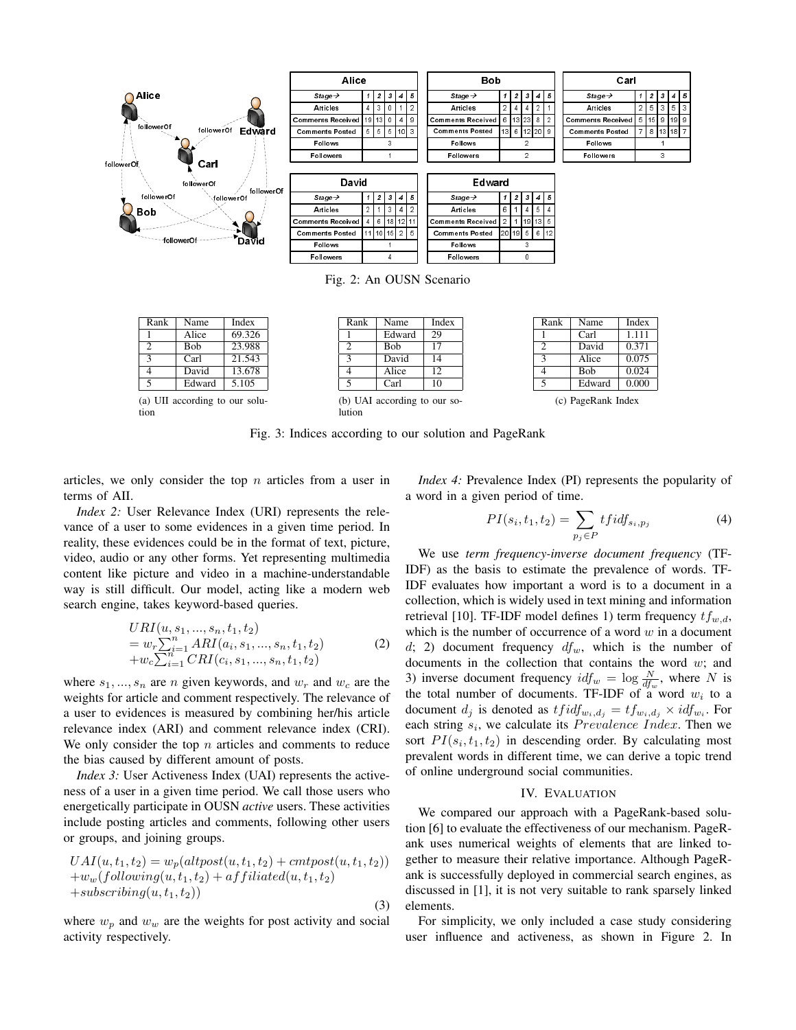

Fig. 2: An OUSN Scenario

Rank Name Index<br>1 Edward 29 Edward

| Rank                          | Name        | Index  |
|-------------------------------|-------------|--------|
|                               | Alice       | 69.326 |
| $\mathfrak{D}$                | <b>B</b> ob | 23.988 |
| $\overline{\mathbf{3}}$       | Carl        | 21.543 |
| $\overline{\mathcal{A}}$      | David       | 13.678 |
| 5                             | Edward      | 5.105  |
| (a) UII according to our solu |             |        |

tion

 $\frac{2}{3}$  Bob 17 David 14 Alice 12  $\overline{\text{Carl}}$  10 (b) UAI according to our so-

| Rank                     | Name       | Index |  |
|--------------------------|------------|-------|--|
|                          | Carl       | 1.111 |  |
| $\mathcal{D}$            | David      | 0.371 |  |
| $\overline{\mathcal{L}}$ | Alice      | 0.075 |  |
|                          | <b>Bob</b> | 0.024 |  |
| $\overline{\phantom{0}}$ | Edward     | 0.000 |  |
|                          |            |       |  |

(c) PageRank Index

Fig. 3: Indices according to our solution and PageRank

lution

articles, we only consider the top *n* articles from a user in terms of AII.

*Index 2:* User Relevance Index (URI) represents the relevance of a user to some evidences in a given time period. In reality, these evidences could be in the format of text, picture, video, audio or any other forms. Yet representing multimedia content like picture and video in a machine-understandable way is still difficult. Our model, acting like a modern web search engine, takes keyword-based queries.

$$
URI(u, s_1, ..., s_n, t_1, t_2)
$$
  
=  $w_r \sum_{i=1}^n ARI(a_i, s_1, ..., s_n, t_1, t_2)$   
+ $w_c \sum_{i=1}^n CRI(c_i, s_1, ..., s_n, t_1, t_2)$  (2)

where  $s_1, ..., s_n$  are *n* given keywords, and  $w_r$  and  $w_c$  are the weights for article and comment respectively. The relevance of a user to evidences is measured by combining her/his article relevance index (ARI) and comment relevance index (CRI). We only consider the top *n* articles and comments to reduce the bias caused by different amount of posts.

*Index 3:* User Activeness Index (UAI) represents the activeness of a user in a given time period. We call those users who energetically participate in OUSN *active* users. These activities include posting articles and comments, following other users or groups, and joining groups.

$$
UAI(u, t1, t2) = wp(altpost(u, t1, t2) + cmtpost(u, t1, t2))+ ww(following(u, t1, t2) + affiliated(u, t1, t2)+subscripting(u, t1, t2))
$$
\n(3)

where  $w_p$  and  $w_w$  are the weights for post activity and social activity respectively.

*Index 4:* Prevalence Index (PI) represents the popularity of a word in a given period of time.

$$
PI(s_i, t_1, t_2) = \sum_{p_j \in P} tfdf_{s_i, p_j}
$$
 (4)

We use *term frequency-inverse document frequency* (TF-IDF) as the basis to estimate the prevalence of words. TF-IDF evaluates how important a word is to a document in a collection, which is widely used in text mining and information retrieval [10]. TF-IDF model defines 1) term frequency *tfw,d*, which is the number of occurrence of a word *w* in a document *d*; 2) document frequency *dfw*, which is the number of documents in the collection that contains the word *w*; and 3) inverse document frequency  $idf_w = \log \frac{N}{df_w}$ , where *N* is the total number of documents. TF-IDF of a word  $w_i$  to a document  $d_j$  is denoted as  $tfidf_{w_i,d_j} = tf_{w_i,d_j} \times idf_{w_i}$ . For each string  $s_i$ , we calculate its *Prevalence Index*. Then we sort  $PI(s_i, t_1, t_2)$  in descending order. By calculating most prevalent words in different time, we can derive a topic trend of online underground social communities.

## IV. EVALUATION

We compared our approach with a PageRank-based solution [6] to evaluate the effectiveness of our mechanism. PageRank uses numerical weights of elements that are linked together to measure their relative importance. Although PageRank is successfully deployed in commercial search engines, as discussed in [1], it is not very suitable to rank sparsely linked elements.

For simplicity, we only included a case study considering user influence and activeness, as shown in Figure 2. In